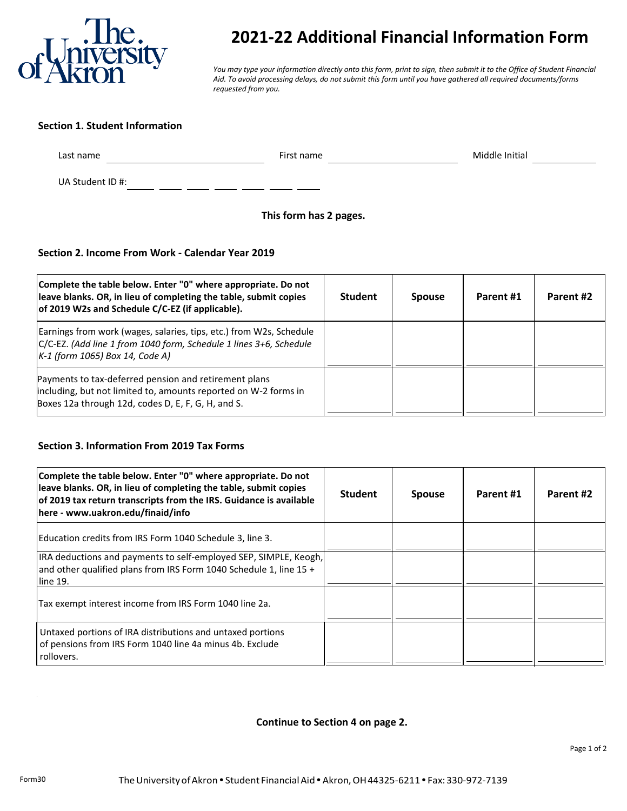

# **2021-22 Additional Financial Information Form**

*You may type your information directly onto this form, print to sign, then submit it to the Office of Student Financial Aid. To avoid processing delays, do not submit this form until you have gathered all required documents/forms requested from you.*

#### **Section 1. Student Information**

 $\overline{\phantom{a}}$  and  $\overline{\phantom{a}}$ 

Last name example and the set of the First name of the Middle Initial Contract of the Middle Initial Contract of the Middle Initial Contract of the Middle Initial Contract of the Middle Initial Contract of the Middle Initi

UA Student ID #:  $\frac{1}{2}$   $\frac{1}{2}$   $\frac{1}{2}$   $\frac{1}{2}$   $\frac{1}{2}$   $\frac{1}{2}$ 

## **This form has 2 pages.**

# **Section 2. Income From Work - Calendar Year 2019**

| Complete the table below. Enter "0" where appropriate. Do not<br>leave blanks. OR, in lieu of completing the table, submit copies<br>of 2019 W2s and Schedule C/C-EZ (if applicable). | <b>Student</b> | <b>Spouse</b> | Parent #1 | Parent #2 |
|---------------------------------------------------------------------------------------------------------------------------------------------------------------------------------------|----------------|---------------|-----------|-----------|
| Earnings from work (wages, salaries, tips, etc.) from W2s, Schedule<br>C/C-EZ. (Add line 1 from 1040 form, Schedule 1 lines 3+6, Schedule<br>$K-1$ (form 1065) Box 14, Code A)        |                |               |           |           |
| Payments to tax-deferred pension and retirement plans<br>including, but not limited to, amounts reported on W-2 forms in<br>Boxes 12a through 12d, codes D, E, F, G, H, and S.        |                |               |           |           |

#### **Section 3. Information From 2019 Tax Forms**

| Complete the table below. Enter "0" where appropriate. Do not<br>leave blanks. OR, in lieu of completing the table, submit copies<br>of 2019 tax return transcripts from the IRS. Guidance is available<br>here - www.uakron.edu/finaid/info | <b>Student</b> | <b>Spouse</b> | Parent #1 | Parent #2 |
|----------------------------------------------------------------------------------------------------------------------------------------------------------------------------------------------------------------------------------------------|----------------|---------------|-----------|-----------|
| Education credits from IRS Form 1040 Schedule 3, line 3.                                                                                                                                                                                     |                |               |           |           |
| IRA deductions and payments to self-employed SEP, SIMPLE, Keogh,<br>and other qualified plans from IRS Form 1040 Schedule 1, line $15 +$<br>line 19.                                                                                         |                |               |           |           |
| Tax exempt interest income from IRS Form 1040 line 2a.                                                                                                                                                                                       |                |               |           |           |
| Untaxed portions of IRA distributions and untaxed portions<br>of pensions from IRS Form 1040 line 4a minus 4b. Exclude<br>rollovers.                                                                                                         |                |               |           |           |

#### **Continue to Section 4 on page 2.**